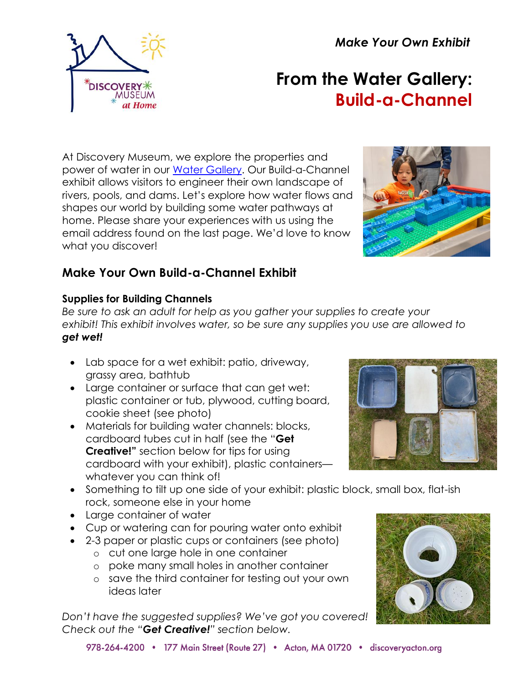*Make Your Own Exhibit*



# **From the Water Gallery: Build-a-Channel**

At Discovery Museum, we explore the properties and power of water in our [Water Gallery.](https://www.discoveryacton.org/exhibit/water-gallery) Our Build-a-Channel exhibit allows visitors to engineer their own landscape of rivers, pools, and dams. Let's explore how water flows and shapes our world by building some water pathways at home. Please share your experiences with us using the email address found on the last page. We'd love to know what you discover!



# **Make Your Own Build-a-Channel Exhibit**

# **Supplies for Building Channels**

*Be sure to ask an adult for help as you gather your supplies to create your exhibit! This exhibit involves water, so be sure any supplies you use are allowed to get wet!*

- Lab space for a wet exhibit: patio, driveway, grassy area, bathtub
- Large container or surface that can get wet: plastic container or tub, plywood, cutting board, cookie sheet (see photo)
- Materials for building water channels: blocks, cardboard tubes cut in half (see the "**Get Creative!"** section below for tips for using cardboard with your exhibit), plastic containers whatever you can think of!
- Something to tilt up one side of your exhibit: plastic block, small box, flat-ish rock, someone else in your home
- Large container of water
- Cup or watering can for pouring water onto exhibit
- 2-3 paper or plastic cups or containers (see photo)
	- o cut one large hole in one container
	- o poke many small holes in another container
	- o save the third container for testing out your own ideas later

*Don't have the suggested supplies? We've got you covered! Check out the "Get Creative!" section below.*



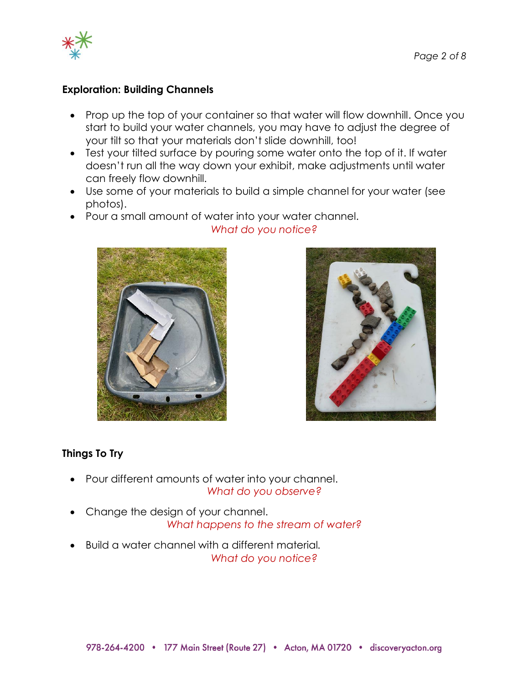

#### **Exploration: Building Channels**

- Prop up the top of your container so that water will flow downhill. Once you start to build your water channels, you may have to adjust the degree of your tilt so that your materials don't slide downhill, too!
- Test your tilted surface by pouring some water onto the top of it. If water doesn't run all the way down your exhibit, make adjustments until water can freely flow downhill.
- Use some of your materials to build a simple channel for your water (see photos).
- Pour a small amount of water into your water channel.



## *What do you notice?*



## **Things To Try**

- Pour different amounts of water into your channel. *What do you observe?*
- Change the design of your channel. *What happens to the stream of water?*
- Build a water channel with a different material*. What do you notice?*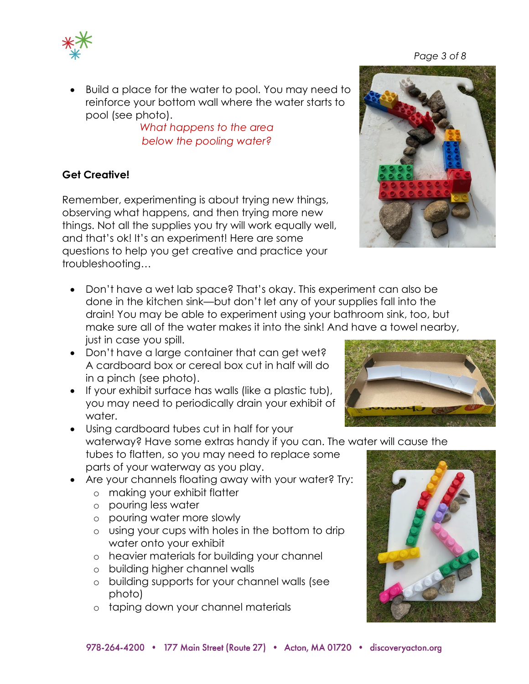

*What happens to the area below the pooling water?*

# **Get Creative!**

Remember, experimenting is about trying new things, observing what happens, and then trying more new things. Not all the supplies you try will work equally well, and that's ok! It's an experiment! Here are some questions to help you get creative and practice your troubleshooting…

- Don't have a wet lab space? That's okay. This experiment can also be done in the kitchen sink—but don't let any of your supplies fall into the drain! You may be able to experiment using your bathroom sink, too, but make sure all of the water makes it into the sink! And have a towel nearby, just in case you spill.
- Don't have a large container that can get wet? A cardboard box or cereal box cut in half will do in a pinch (see photo).
- If your exhibit surface has walls (like a plastic tub), you may need to periodically drain your exhibit of water.
- Using cardboard tubes cut in half for your waterway? Have some extras handy if you can. The water will cause the tubes to flatten, so you may need to replace some parts of your waterway as you play.
- Are your channels floating away with your water? Try:
	- o making your exhibit flatter
	- o pouring less water
	- o pouring water more slowly
	- o using your cups with holes in the bottom to drip water onto your exhibit
	- o heavier materials for building your channel
	- o building higher channel walls
	- o building supports for your channel walls (see photo)
	- o taping down your channel materials







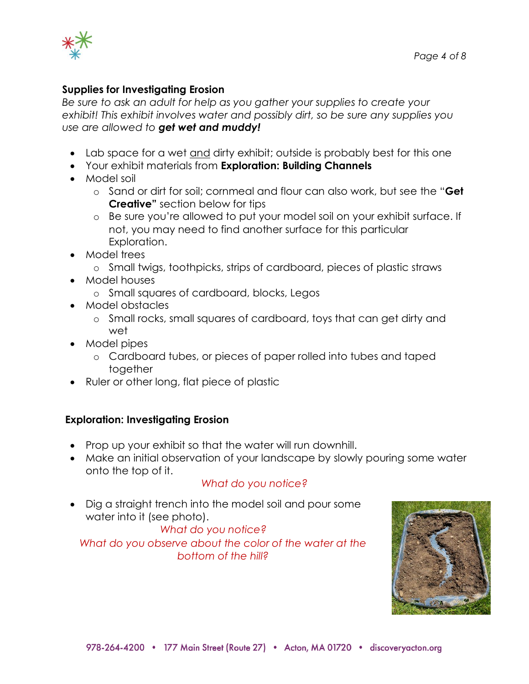

#### **Supplies for Investigating Erosion**

*Be sure to ask an adult for help as you gather your supplies to create your exhibit! This exhibit involves water and possibly dirt, so be sure any supplies you use are allowed to get wet and muddy!*

- Lab space for a wet and dirty exhibit; outside is probably best for this one
- Your exhibit materials from **Exploration: Building Channels**
- Model soil
	- o Sand or dirt for soil; cornmeal and flour can also work, but see the "**Get Creative"** section below for tips
	- o Be sure you're allowed to put your model soil on your exhibit surface. If not, you may need to find another surface for this particular Exploration.
- Model trees
	- o Small twigs, toothpicks, strips of cardboard, pieces of plastic straws
- Model houses
	- o Small squares of cardboard, blocks, Legos
- Model obstacles
	- o Small rocks, small squares of cardboard, toys that can get dirty and wet
- Model pipes
	- o Cardboard tubes, or pieces of paper rolled into tubes and taped together
- Ruler or other long, flat piece of plastic

#### **Exploration: Investigating Erosion**

- Prop up your exhibit so that the water will run downhill.
- Make an initial observation of your landscape by slowly pouring some water onto the top of it.

#### *What do you notice?*

• Dig a straight trench into the model soil and pour some water into it (see photo).

*What do you notice? What do you observe about the color of the water at the bottom of the hill?*

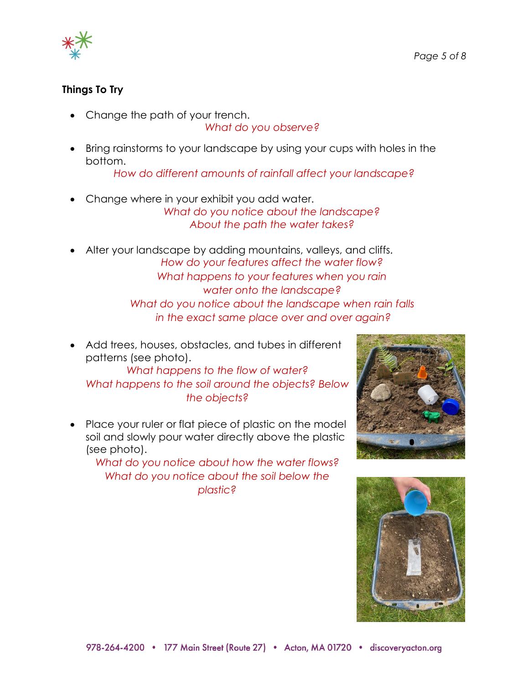

#### **Things To Try**

• Change the path of your trench.

*What do you observe?*

• Bring rainstorms to your landscape by using your cups with holes in the bottom.

*How do different amounts of rainfall affect your landscape?*

- Change where in your exhibit you add water. *What do you notice about the landscape? About the path the water takes?*
- Alter your landscape by adding mountains, valleys, and cliffs. *How do your features affect the water flow? What happens to your features when you rain water onto the landscape? What do you notice about the landscape when rain falls in the exact same place over and over again?*
- Add trees, houses, obstacles, and tubes in different patterns (see photo).

*What happens to the flow of water? What happens to the soil around the objects? Below the objects?*

• Place your ruler or flat piece of plastic on the model soil and slowly pour water directly above the plastic (see photo).

*What do you notice about how the water flows? What do you notice about the soil below the plastic?*



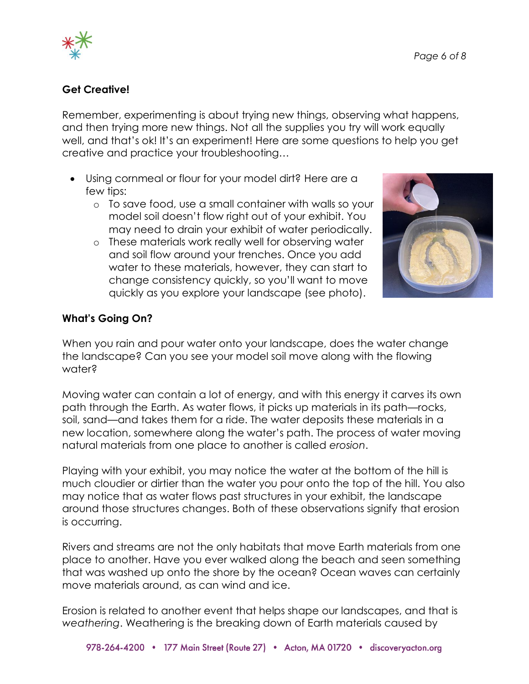

## **Get Creative!**

Remember, experimenting is about trying new things, observing what happens, and then trying more new things. Not all the supplies you try will work equally well, and that's ok! It's an experiment! Here are some questions to help you get creative and practice your troubleshooting…

- Using cornmeal or flour for your model dirt? Here are a few tips:
	- o To save food, use a small container with walls so your model soil doesn't flow right out of your exhibit. You may need to drain your exhibit of water periodically.
	- o These materials work really well for observing water and soil flow around your trenches. Once you add water to these materials, however, they can start to change consistency quickly, so you'll want to move quickly as you explore your landscape (see photo).



## **What's Going On?**

When you rain and pour water onto your landscape, does the water change the landscape? Can you see your model soil move along with the flowing water?

Moving water can contain a lot of energy, and with this energy it carves its own path through the Earth. As water flows, it picks up materials in its path—rocks, soil, sand—and takes them for a ride. The water deposits these materials in a new location, somewhere along the water's path. The process of water moving natural materials from one place to another is called *erosion*.

Playing with your exhibit, you may notice the water at the bottom of the hill is much cloudier or dirtier than the water you pour onto the top of the hill. You also may notice that as water flows past structures in your exhibit, the landscape around those structures changes. Both of these observations signify that erosion is occurring.

Rivers and streams are not the only habitats that move Earth materials from one place to another. Have you ever walked along the beach and seen something that was washed up onto the shore by the ocean? Ocean waves can certainly move materials around, as can wind and ice.

Erosion is related to another event that helps shape our landscapes, and that is *weathering*. Weathering is the breaking down of Earth materials caused by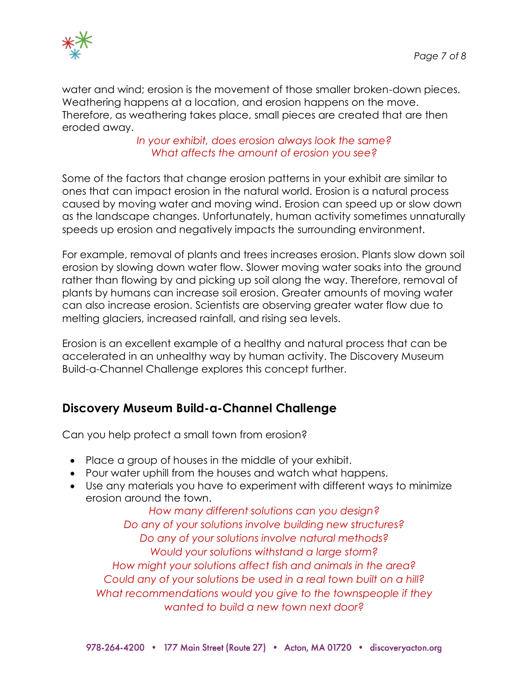

water and wind; erosion is the movement of those smaller broken-down pieces. Weathering happens at a location, and erosion happens on the move. Therefore, as weathering takes place, small pieces are created that are then eroded away.

#### *In your exhibit, does erosion always look the same? What affects the amount of erosion you see?*

Some of the factors that change erosion patterns in your exhibit are similar to ones that can impact erosion in the natural world. Erosion is a natural process caused by moving water and moving wind. Erosion can speed up or slow down as the landscape changes. Unfortunately, human activity sometimes unnaturally speeds up erosion and negatively impacts the surrounding environment.

For example, removal of plants and trees increases erosion. Plants slow down soil erosion by slowing down water flow. Slower moving water soaks into the ground rather than flowing by and picking up soil along the way. Therefore, removal of plants by humans can increase soil erosion. Greater amounts of moving water can also increase erosion. Scientists are observing greater water flow due to melting glaciers, increased rainfall, and rising sea levels.

Erosion is an excellent example of a healthy and natural process that can be accelerated in an unhealthy way by human activity. The Discovery Museum Build-a-Channel Challenge explores this concept further.

# **Discovery Museum Build-a-Channel Challenge**

Can you help protect a small town from erosion?

- Place a group of houses in the middle of your exhibit.
- Pour water uphill from the houses and watch what happens.
- Use any materials you have to experiment with different ways to minimize erosion around the town.

*How many different solutions can you design? Do any of your solutions involve building new structures? Do any of your solutions involve natural methods? Would your solutions withstand a large storm? How might your solutions affect fish and animals in the area? Could any of your solutions be used in a real town built on a hill? What recommendations would you give to the townspeople if they wanted to build a new town next door?*